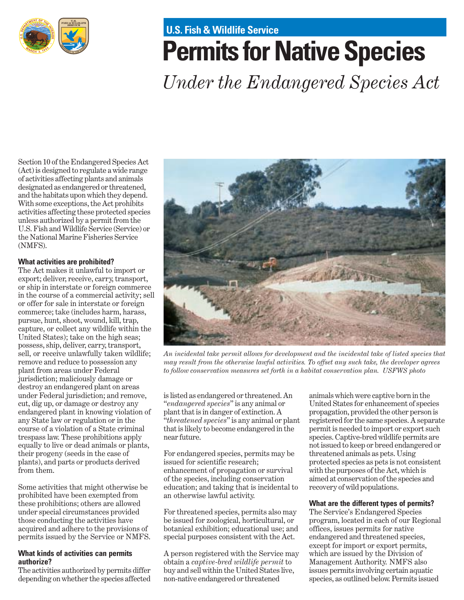

# **U.S. Fish & Wildlife Service**

# **Permits for Native Species**

*Under the Endangered Species Act*

Section 10 of the Endangered Species Act (Act) is designed to regulate a wide range of activities affecting plants and animals designated as endangered or threatened, and the habitats upon which they depend. With some exceptions, the Act prohibits activities affecting these protected species unless authorized by a permit from the U.S. Fish and Wildlife Service (Service) or the National Marine Fisheries Service (NMFS).

# **What activities are prohibited?**

The Act makes it unlawful to import or export; deliver, receive, carry, transport, or ship in interstate or foreign commerce in the course of a commercial activity; sell or offer for sale in interstate or foreign commerce; take (includes harm, harass, pursue, hunt, shoot, wound, kill, trap, capture, or collect any wildlife within the United States); take on the high seas; possess, ship, deliver, carry, transport, sell, or receive unlawfully taken wildlife; remove and reduce to possession any plant from areas under Federal jurisdiction; maliciously damage or destroy an endangered plant on areas under Federal jurisdiction; and remove, cut, dig up, or damage or destroy any endangered plant in knowing violation of any State law or regulation or in the course of a violation of a State criminal trespass law. These prohibitions apply equally to live or dead animals or plants, their progeny (seeds in the case of plants), and parts or products derived from them.

Some activities that might otherwise be prohibited have been exempted from these prohibitions; others are allowed under special circumstances provided those conducting the activities have acquired and adhere to the provisions of permits issued by the Service or NMFS.

#### **What kinds of activities can permits authorize?**

The activities authorized by permits differ depending on whether the species affected



*An incidental take permit allows for development and the incidental take of listed species that may result from the otherwise lawful activities. To offset any such take, the developer agrees to follow conservation measures set forth in a habitat conservation plan. USFWS photo*

is listed as endangered or threatened. An "*endangered species*" is any animal or plant that is in danger of extinction. A "*threatened species*" is any animal or plant that is likely to become endangered in the near future.

For endangered species, permits may be issued for scientific research; enhancement of propagation or survival of the species, including conservation education; and taking that is incidental to an otherwise lawful activity.

For threatened species, permits also may be issued for zoological, horticultural, or botanical exhibition; educational use; and special purposes consistent with the Act.

A person registered with the Service may obtain a *captive-bred wildlife permit* to buy and sell within the United States live, non-native endangered or threatened

animals which were captive born in the United States for enhancement of species propagation, provided the other person is registered for the same species. A separate permit is needed to import or export such species. Captive-bred wildlife permits are not issued to keep or breed endangered or threatened animals as pets. Using protected species as pets is not consistent with the purposes of the Act, which is aimed at conservation of the species and recovery of wild populations.

# **What are the different types of permits?**

The Service's Endangered Species program, located in each of our Regional offices, issues permits for native endangered and threatened species, except for import or export permits, which are issued by the Division of Management Authority. NMFS also issues permits involving certain aquatic species, as outlined below. Permits issued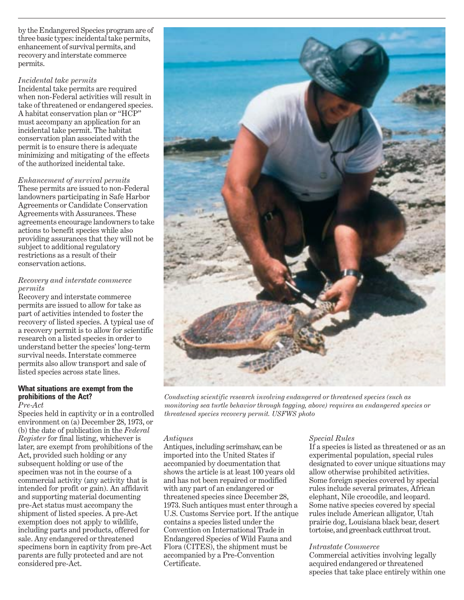by the Endangered Species program are of three basic types: incidental take permits, enhancement of survival permits, and recovery and interstate commerce permits.

#### *Incidental take permits*

Incidental take permits are required when non-Federal activities will result in take of threatened or endangered species. A habitat conservation plan or "HCP" must accompany an application for an incidental take permit. The habitat conservation plan associated with the permit is to ensure there is adequate minimizing and mitigating of the effects of the authorized incidental take.

*Enhancement of survival permits*  These permits are issued to non-Federal landowners participating in Safe Harbor Agreements or Candidate Conservation Agreements with Assurances. These agreements encourage landowners to take actions to benefit species while also providing assurances that they will not be subject to additional regulatory restrictions as a result of their conservation actions.

## *Recovery and interstate commerce permits*

Recovery and interstate commerce permits are issued to allow for take as part of activities intended to foster the recovery of listed species. A typical use of a recovery permit is to allow for scientific research on a listed species in order to understand better the species' long-term survival needs. Interstate commerce permits also allow transport and sale of listed species across state lines.

#### **What situations are exempt from the prohibitions of the Act?**  *Pre-Act*

Species held in captivity or in a controlled environment on (a) December 28, 1973, or (b) the date of publication in the *Federal Register* for final listing, whichever is later, are exempt from prohibitions of the Act, provided such holding or any subsequent holding or use of the specimen was not in the course of a commercial activity (any activity that is intended for profit or gain). An affidavit and supporting material documenting pre-Act status must accompany the shipment of listed species. A pre-Act exemption does not apply to wildlife, including parts and products, offered for sale. Any endangered or threatened specimens born in captivity from pre-Act parents are fully protected and are not considered pre-Act.



*Conducting scientific research involving endangered or threatened species (such as monitoring sea turtle behavior through tagging, above) requires an endangered species or threatened species recovery permit. USFWS photo* 

#### *Antiques*

Antiques, including scrimshaw, can be imported into the United States if accompanied by documentation that shows the article is at least 100 years old and has not been repaired or modified with any part of an endangered or threatened species since December 28, 1973. Such antiques must enter through a U.S. Customs Service port. If the antique contains a species listed under the Convention on International Trade in Endangered Species of Wild Fauna and Flora (CITES), the shipment must be accompanied by a Pre-Convention Certificate.

# *Special Rules*

If a species is listed as threatened or as an experimental population, special rules designated to cover unique situations may allow otherwise prohibited activities. Some foreign species covered by special rules include several primates, African elephant, Nile crocodile, and leopard. Some native species covered by special rules include American alligator, Utah prairie dog, Louisiana black bear, desert tortoise, and greenback cutthroat trout.

#### *Intrastate Commerce*

Commercial activities involving legally acquired endangered or threatened species that take place entirely within one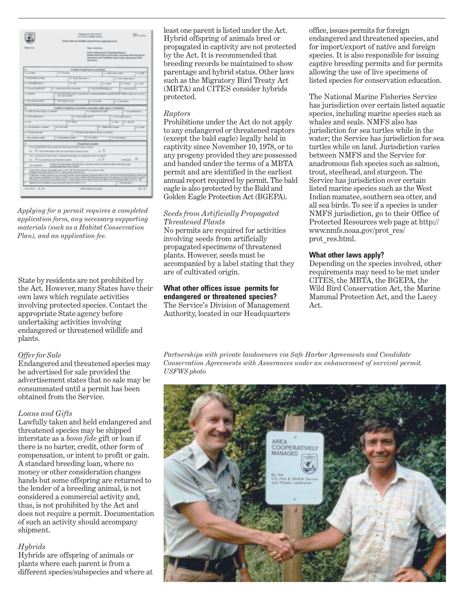|                                                                                                                                                                                        |                                                                        | Tries and Park and AF ROBB Copyright model depotitions of type | 1995 Tike in Windows Ambros |                 |                    |                                                                                                                                                                                |                   |
|----------------------------------------------------------------------------------------------------------------------------------------------------------------------------------------|------------------------------------------------------------------------|----------------------------------------------------------------|-----------------------------|-----------------|--------------------|--------------------------------------------------------------------------------------------------------------------------------------------------------------------------------|-------------------|
|                                                                                                                                                                                        |                                                                        |                                                                | Then or some and            |                 |                    |                                                                                                                                                                                |                   |
|                                                                                                                                                                                        |                                                                        |                                                                | <b>SOUTHERN</b>             |                 |                    | Writers Alexinopedial Monotoral Handia / Control<br>from a country of the country of the country with the discussion<br>Agreements and Cambridge Constitutions Agreements Web- |                   |
| ×                                                                                                                                                                                      |                                                                        | Colonials III spoking as we pollutional                        |                             |                 |                    |                                                                                                                                                                                |                   |
| THE CARD MARKET                                                                                                                                                                        | $-$                                                                    |                                                                |                             |                 | 15. MINT CALL LOAN |                                                                                                                                                                                | $-14$             |
| 11 Machine a GM                                                                                                                                                                        |                                                                        | to be received                                                 |                             |                 |                    | 14-993-1493-923                                                                                                                                                                |                   |
| to this sea when the fi-                                                                                                                                                               |                                                                        | $-1$                                                           |                             | <b>B-DAK</b>    |                    | <b>Linksworth</b>                                                                                                                                                              | <b>COLOR</b>      |
| TO THE REAL PROPERTY.                                                                                                                                                                  | IT has been becomes                                                    |                                                                | L. Day Street               |                 |                    | 1 between 14                                                                                                                                                                   |                   |
| L. Internati                                                                                                                                                                           | Total Print, September<br><b>Birthdale Constitution</b>                |                                                                |                             |                 |                    | in control a comparation accounts                                                                                                                                              |                   |
| <b>E. Dec shallen balls</b>                                                                                                                                                            | The American States                                                    |                                                                | or income.                  |                 |                    | U. Located                                                                                                                                                                     |                   |
| ۰                                                                                                                                                                                      | Employed basic big in a braining, improving, public against us success |                                                                |                             |                 |                    |                                                                                                                                                                                |                   |
| 11 Taylor Edward Law Co. Low and                                                                                                                                                       |                                                                        |                                                                | to the new child            |                 |                    | i Londono                                                                                                                                                                      |                   |
|                                                                                                                                                                                        |                                                                        |                                                                |                             |                 |                    |                                                                                                                                                                                |                   |
| <b>L'ACADEMIE</b>                                                                                                                                                                      |                                                                        | 1 Alexander Sea 11                                             |                             |                 |                    | to Expedite the C                                                                                                                                                              |                   |
| 1134                                                                                                                                                                                   | <b>SE Super</b>                                                        |                                                                |                             |                 | --                 | 14 Street                                                                                                                                                                      |                   |
| to Financial Arts (see also                                                                                                                                                            | <b>Billian</b>                                                         |                                                                |                             | <b>Take</b>     | $-0.000$           |                                                                                                                                                                                | <b>The Second</b> |
| LI POLICIAL RE                                                                                                                                                                         |                                                                        | <b>TELES</b>                                                   |                             | <b>COLORADO</b> |                    |                                                                                                                                                                                |                   |
| 11 MINT FAMILIES FEATURE                                                                                                                                                               | 2 York Date                                                            |                                                                | <b>TSCS</b>                 |                 | <b>WILLIAM</b>     |                                                                                                                                                                                |                   |
| ×                                                                                                                                                                                      |                                                                        |                                                                | All productions and ad-     |                 |                    |                                                                                                                                                                                |                   |
| To all could do at his ad boxy time life ad traffs state in their                                                                                                                      |                                                                        |                                                                |                             |                 |                    |                                                                                                                                                                                |                   |
| by 17 Advance against convenience and con-                                                                                                                                             |                                                                        |                                                                |                             | $=$ 11          |                    |                                                                                                                                                                                |                   |
| WILLIAM PRINTED FEATURES REQUIRED FIGHT AND RESIDENT LEADER.<br>17 Your parts in car fifty king a paint<br><b>Signa</b>                                                                |                                                                        |                                                                |                             | to 13           |                    | winner. 11                                                                                                                                                                     |                   |
| $-0.004$                                                                                                                                                                               | <b>STAKE &amp; ARRIVERSO PRICEDIES LA</b>                              |                                                                |                             |                 |                    |                                                                                                                                                                                |                   |
| ٠<br>υ<br>÷<br><b>A high a right of construction and public at any city and in dark when hands area</b><br>a relative points and at 100 days of the local details and also<br>$-0.000$ |                                                                        |                                                                |                             |                 |                    |                                                                                                                                                                                |                   |

*Applying for a permit requires a completed application form, any necessary supporting materials (such as a Habitat Conservation Plan), and an application fee.* 

State by residents are not prohibited by the Act. However, many States have their own laws which regulate activities involving protected species. Contact the appropriate State agency before undertaking activities involving endangered or threatened wildlife and plants.

#### *Offer for Sale*

Endangered and threatened species may be advertised for sale provided the advertisement states that no sale may be consummated until a permit has been obtained from the Service.

#### *Loans and Gifts*

Lawfully taken and held endangered and threatened species may be shipped interstate as a *bona fide* gift or loan if there is no barter, credit, other form of compensation, or intent to profit or gain. A standard breeding loan, where no money or other consideration changes hands but some offspring are returned to the lender of a breeding animal, is not considered a commercial activity and, thus, is not prohibited by the Act and does not require a permit. Documentation of such an activity should accompany shipment.

#### *Hybrids*

Hybrids are offspring of animals or plants where each parent is from a different species/subspecies and where at least one parent is listed under the Act. Hybrid offspring of animals bred or propagated in captivity are not protected by the Act. It is recommended that breeding records be maintained to show parentage and hybrid status. Other laws such as the Migratory Bird Treaty Act (MBTA) and CITES consider hybrids protected.

#### *Raptors*

Prohibitions under the Act do not apply to any endangered or threatened raptors (except the bald eagle) legally held in captivity since November 10, 1978, or to any progeny provided they are possessed and banded under the terms of a MBTA permit and are identified in the earliest annual report required by permit. The bald eagle is also protected by the Bald and Golden Eagle Protection Act (BGEPA).

## *Seeds from Artificially Propagated Threatened Plants*

No permits are required for activities involving seeds from artificially propagated specimens of threatened plants. However, seeds must be accompanied by a label stating that they are of cultivated origin.

**What other offices issue permits for endangered or threatened species?**  The Service's Division of Management Authority, located in our Headquarters office, issues permits for foreign endangered and threatened species, and for import/export of native and foreign species. It is also responsible for issuing captive breeding permits and for permits allowing the use of live specimens of listed species for conservation education.

The National Marine Fisheries Service has jurisdiction over certain listed aquatic species, including marine species such as whales and seals. NMFS also has jurisdiction for sea turtles while in the water; the Service has jurisdiction for sea turtles while on land. Jurisdiction varies between NMFS and the Service for anadromous fish species such as salmon, trout, steelhead, and sturgeon. The Service has jurisdiction over certain listed marine species such as the West Indian manatee, southern sea otter, and all sea birds. To see if a species is under NMFS jurisdiction, go to their Office of Protected Resources web page at http:// www.nmfs.noaa.gov/prot\_res/ prot\_res.html.

#### **What other laws apply?**

Depending on the species involved, other requirements may need to be met under CITES, the MBTA, the BGEPA, the Wild Bird Conservation Act, the Marine Mammal Protection Act, and the Lacey Act.

*Partnerships with private landowners via Safe Harbor Agreements and Candidate Conservation Agreements with Assurances under an enhancement of survival permit. USFWS photo*